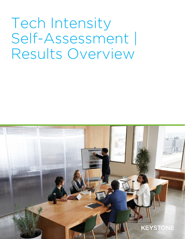Tech Intensity Self-Assessment | Results Overview

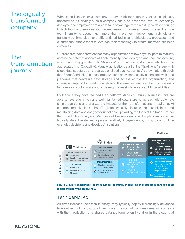# The digitally transformed company

# **The** transformation journey

What does it mean for a company to have high tech intensity, or to be "digitally transformed"? Certainly such a company has a an advanced level of technology deployed and employees are able to take advantage of the most up-to-date offerings in tech tools and services. Our recent research, however, demonstrates that true tech intensity is about much more than mere tech deployment; truly digitally transformed firms also have differentiated technical architectures, processes, and cultures that enable them to leverage their technology to create improved business outcomes.

Our research demonstrates that many organizations follow a typical path to maturity across the different aspects of Tech Intensity (tech deployed and tech architecture, which can be aggregated into "Adoption", and process and culture, which can be aggregated into "Capability). Many organizations start at the "Traditional" stage, with siloed data structures and localized or siloed business units. As they mature through the "Bridge" and "Hub" stages, organizations grow increasingly connected, with data platforms that centralize data storage and access across the organization, and increasing support for real-time analyses. This enables teams in the business units to more easily collaborate and to develop increasingly advanced ML capabilities.

By the time they have reached the "Platform" stage of maturity, business units are able to leverage a rich and well-maintained data store to increasingly automate simple decisions and analyze the impacts of their transformations in real-time. At platform organizations, the IT group typically focuses on establishing and maintaining data and analytics foundations – providing the tools of the trade – rather than conducting analyses. Members of business units in the platform stage are typically data literate and operate relatively independently, using data to drive everyday decisions and develop AI solutions.





## Tech deployed

As firms increase their tech intensity, they typically deploy increasingly advanced levels of technology to support their goals. The start of this transformation journey is with the introduction of a shared data platform, often hybrid or in the cloud, that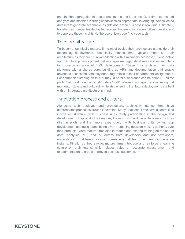enables the aggregation of data across teams and functions. Over time, teams add analytics and machine learning capabilities as appropriate, leveraging their collected datasets to generate actionable insights about their business in real-time. Ultimately, transformed companies deploy technology that empowers even "citizen developers" to generate these insights via the use of low-code / no-code tools.

### Tech architecture

To become technically mature, firms must evolve their architecture alongside their technology deployments. Technically intense firms typically modernize their architecture as they build it, re-architecting with a microservices-based, cloud-native approach to app development that leverages managed database services and plans for cross-organization AI / ML development. These firms architect their data platforms with a shared core, building up APIs and documentation that enable anyone to access the data they need, regardless of their departmental assignments. For companies starting on this journey, a parallel approach can be helpful – initiate pilots that break down an existing data "wall" between two organizations, using that momentum to expand outward, while also ensuring that future deployments are built with an integrated architecture in mind.

### Innovation process and culture

Alongside tech deployed and architecture, technically intense firms have differentiated processes around innovation. Many traditional firms have a centralized innovation structure, with business units rarely participating in the design and development of apps. As they mature, these firms introduce agile team structures (first in pilots and then more expansively), with business units owning app development and agile teams being given increasing decision-making authority over their products. More mature firms also introduce and expand training on the use of data, analytics, ML, and AI across both developers and non-developers, understanding that true innovation comes when all team members can generate insights. Finally, as they evolve, mature firms introduce and reinforce a learning culture on their teams, which places value on accurate measurement and experimentation to create improved business outcomes.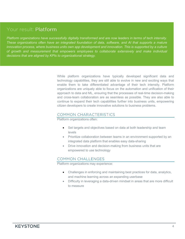## Your result: Platform

*Platform organizations have successfully digitally transformed and are now leaders in terms of tech intensity. These organizations often have an integrated foundation of data, software, and AI that supports a mature innovation process, where business units own app development and innovation. This is supported by a culture of growth and measurement that empowers employees to collaborate extensively and make individual decisions that are aligned by KPIs to organizational strategy.*

> While platform organizations have typically developed significant data and technology capabilities, they are still able to evolve in new and exciting ways that enable them to take differentiated advantage of their tech intensity. Platform organizations are uniquely able to focus on the automation and unification of their approach to data and ML, ensuring that the processes of real-time decision-making and cross-team collaboration are as seamless as possible. They are also able to continue to expand their tech capabilities further into business units, empowering citizen developers to create innovative solutions to business problems.

#### COMMON CHARACTERISTICS

Platform organizations often:

- Set targets and objectives based on data at both leadership and team levels
- Prioritize collaboration between teams in an environment supported by an integrated data platform that enables easy data-sharing
- Drive innovation and decision-making from business units that are empowered to use technology

#### **COMMON CHALLENGES**

Platform organizations may experience:

- Challenges in enforcing and maintaining best practices for data, analytics, and machine learning across an expanding userbase
- Difficulty in leveraging a data-driven mindset in areas that are more difficult to measure